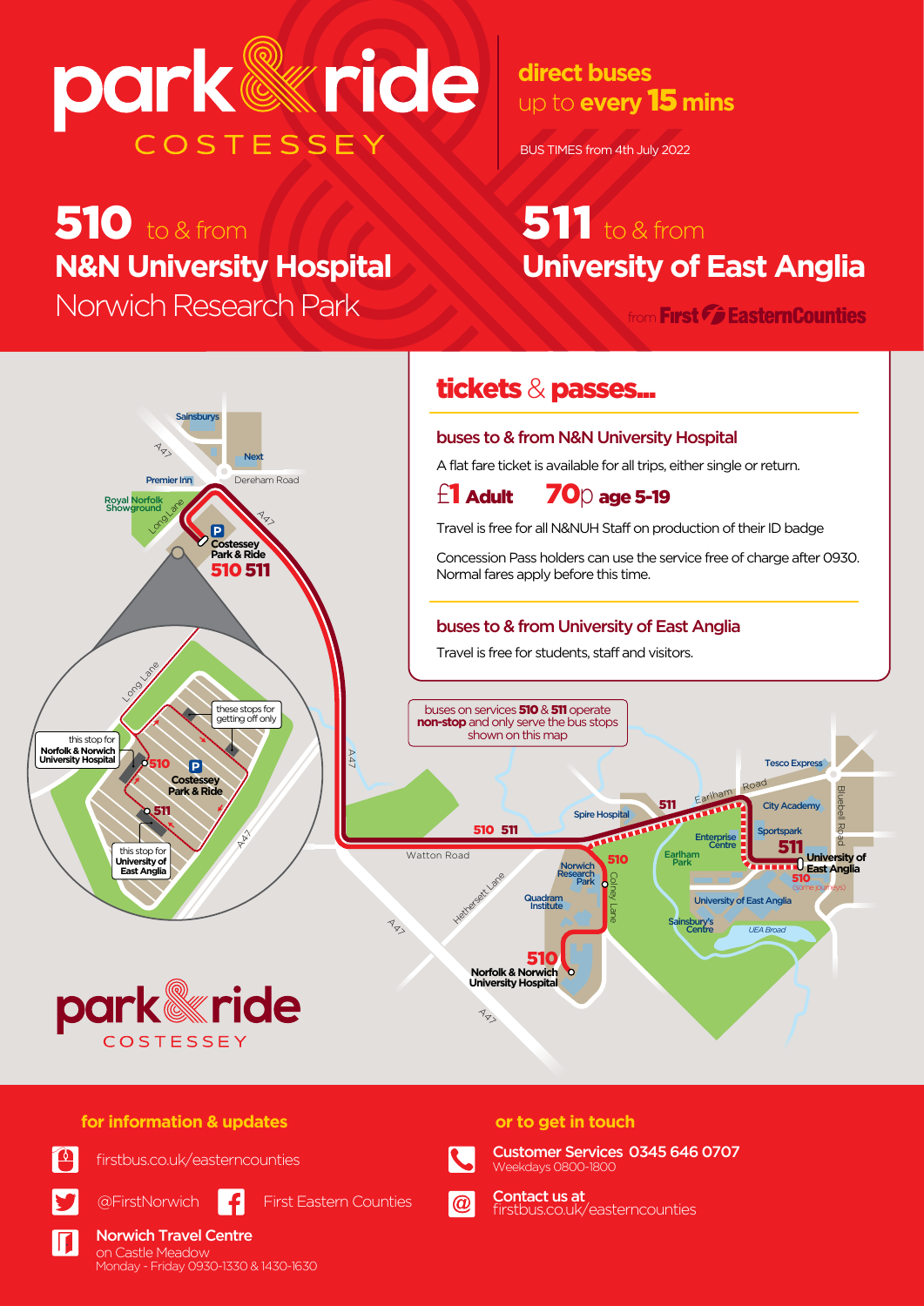# park@ride COSTESSEY

# $510$  to & from **N&N University Hospital**

Norwich Research Park from Einst Gestern Counties

up to **every** 15 **mins direct buses**

BUS TIMES from 4th July 2022

# **University of East Anglia**  $51$ <sup>to & from</sup>

Bluebell Road



### **for information & updates**

on Castle Meadow Norwich Travel Centre



Ш

firstbus.co.uk/easterncounties



Monday - Friday 0930-1330 & 1430-1630

@FirstNorwich First Eastern Counties



Customer Services 0345 646 0707 Weekdays 0800-1800



firstbus.co.uk/easterncounties Contact us at

**or to get in touch**